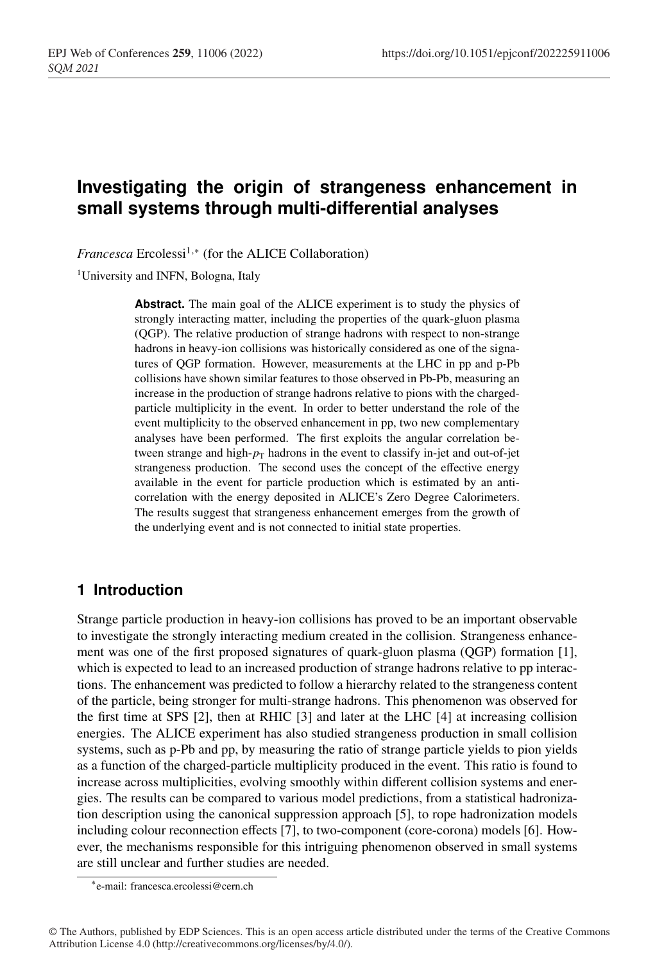# **Investigating the origin of strangeness enhancement in small systems through multi-differential analyses**

*Francesca* Ercolessi<sup>1,∗</sup> (for the ALICE Collaboration)

<sup>1</sup>University and INFN, Bologna, Italy

**Abstract.** The main goal of the ALICE experiment is to study the physics of strongly interacting matter, including the properties of the quark-gluon plasma (QGP). The relative production of strange hadrons with respect to non-strange hadrons in heavy-ion collisions was historically considered as one of the signatures of QGP formation. However, measurements at the LHC in pp and p-Pb collisions have shown similar features to those observed in Pb-Pb, measuring an increase in the production of strange hadrons relative to pions with the chargedparticle multiplicity in the event. In order to better understand the role of the event multiplicity to the observed enhancement in pp, two new complementary analyses have been performed. The first exploits the angular correlation between strange and high- $p_T$  hadrons in the event to classify in-jet and out-of-jet strangeness production. The second uses the concept of the effective energy available in the event for particle production which is estimated by an anticorrelation with the energy deposited in ALICE's Zero Degree Calorimeters. The results suggest that strangeness enhancement emerges from the growth of the underlying event and is not connected to initial state properties.

## **1 Introduction**

Strange particle production in heavy-ion collisions has proved to be an important observable to investigate the strongly interacting medium created in the collision. Strangeness enhancement was one of the first proposed signatures of quark-gluon plasma (QGP) formation [1], which is expected to lead to an increased production of strange hadrons relative to pp interactions. The enhancement was predicted to follow a hierarchy related to the strangeness content of the particle, being stronger for multi-strange hadrons. This phenomenon was observed for the first time at SPS [2], then at RHIC [3] and later at the LHC [4] at increasing collision energies. The ALICE experiment has also studied strangeness production in small collision systems, such as p-Pb and pp, by measuring the ratio of strange particle yields to pion yields as a function of the charged-particle multiplicity produced in the event. This ratio is found to increase across multiplicities, evolving smoothly within different collision systems and energies. The results can be compared to various model predictions, from a statistical hadronization description using the canonical suppression approach [5], to rope hadronization models including colour reconnection effects [7], to two-component (core-corona) models [6]. However, the mechanisms responsible for this intriguing phenomenon observed in small systems are still unclear and further studies are needed.

<sup>∗</sup>e-mail: francesca.ercolessi@cern.ch

<sup>©</sup> The Authors, published by EDP Sciences. This is an open access article distributed under the terms of the Creative Commons Attribution License 4.0 (http://creativecommons.org/licenses/by/4.0/).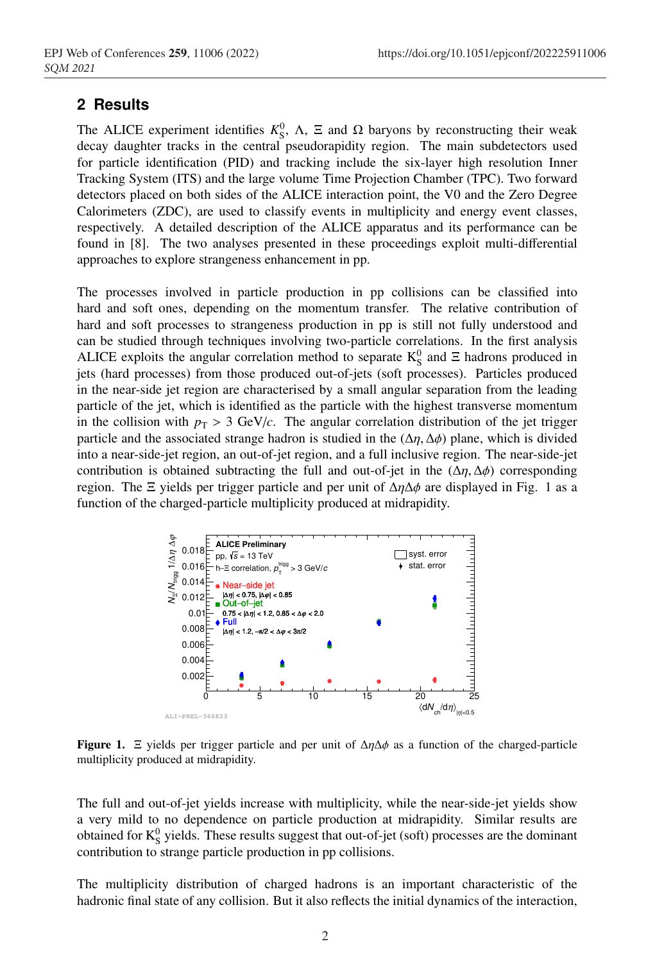### **2 Results**

The ALICE experiment identifies  $K_S^0$ ,  $\Lambda$ ,  $\Xi$  and  $\Omega$  baryons by reconstructing their weak decay daughter tracks in the central pseudorapidity region. The main subdetectors used for particle identification (PID) and tracking include the six-layer high resolution Inner Tracking System (ITS) and the large volume Time Projection Chamber (TPC). Two forward detectors placed on both sides of the ALICE interaction point, the V0 and the Zero Degree Calorimeters (ZDC), are used to classify events in multiplicity and energy event classes, respectively. A detailed description of the ALICE apparatus and its performance can be found in [8]. The two analyses presented in these proceedings exploit multi-differential approaches to explore strangeness enhancement in pp.

The processes involved in particle production in pp collisions can be classified into hard and soft ones, depending on the momentum transfer. The relative contribution of hard and soft processes to strangeness production in pp is still not fully understood and can be studied through techniques involving two-particle correlations. In the first analysis ALICE exploits the angular correlation method to separate  $K_S^0$  and  $\Xi$  hadrons produced in jets (hard processes) from those produced out-of-jets (soft processes). Particles produced in the near-side jet region are characterised by a small angular separation from the leading particle of the jet, which is identified as the particle with the highest transverse momentum in the collision with  $p_T > 3$  GeV/*c*. The angular correlation distribution of the jet trigger particle and the associated strange hadron is studied in the  $(\Delta \eta, \Delta \phi)$  plane, which is divided into a near-side-jet region, an out-of-jet region, and a full inclusive region. The near-side-jet contribution is obtained subtracting the full and out-of-jet in the  $(\Delta \eta, \Delta \phi)$  corresponding region. The Ξ yields per trigger particle and per unit of  $\Delta \eta \Delta \phi$  are displayed in Fig. 1 as a function of the charged-particle multiplicity produced at midrapidity.



Figure 1.  $\Xi$  yields per trigger particle and per unit of  $\Delta \eta \Delta \phi$  as a function of the charged-particle multiplicity produced at midrapidity.

The full and out-of-jet yields increase with multiplicity, while the near-side-jet yields show a very mild to no dependence on particle production at midrapidity. Similar results are obtained for  $K_S^0$  yields. These results suggest that out-of-jet (soft) processes are the dominant contribution to strange particle production in pp collisions.

The multiplicity distribution of charged hadrons is an important characteristic of the hadronic final state of any collision. But it also reflects the initial dynamics of the interaction,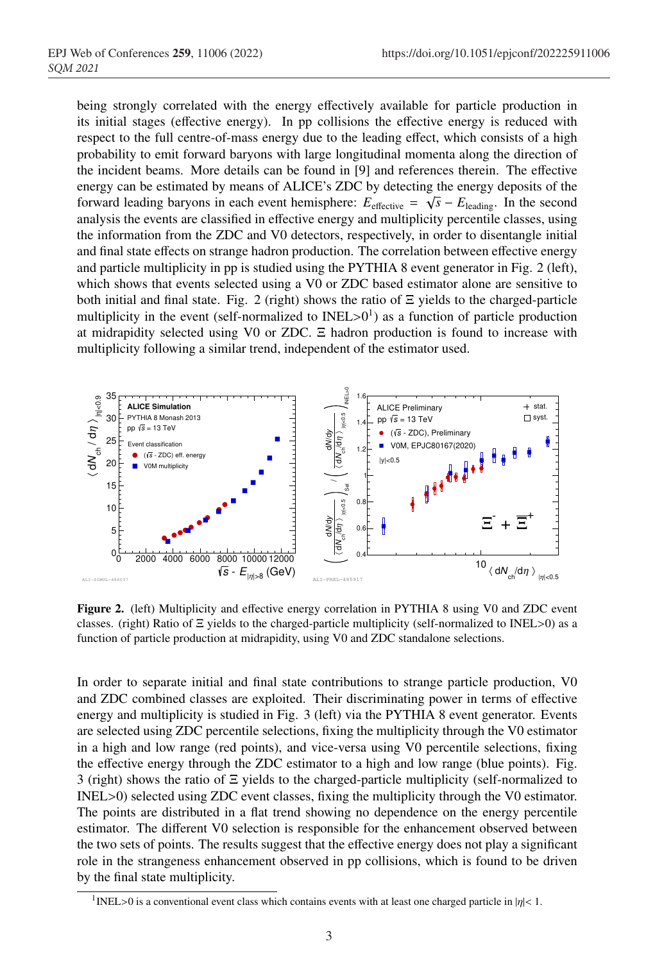being strongly correlated with the energy effectively available for particle production in its initial stages (effective energy). In pp collisions the effective energy is reduced with respect to the full centre-of-mass energy due to the leading effect, which consists of a high probability to emit forward baryons with large longitudinal momenta along the direction of the incident beams. More details can be found in [9] and references therein. The effective energy can be estimated by means of ALICE's ZDC by detecting the energy deposits of the forward leading baryons in each event hemisphere:  $E_{\text{effective}} = \sqrt{s} - E_{\text{leading}}$ . In the second analysis the events are classified in effective energy and multiplicity percentile classes, using the information from the ZDC and V0 detectors, respectively, in order to disentangle initial and final state effects on strange hadron production. The correlation between effective energy and particle multiplicity in pp is studied using the PYTHIA 8 event generator in Fig. 2 (left), which shows that events selected using a V0 or ZDC based estimator alone are sensitive to both initial and final state. Fig. 2 (right) shows the ratio of  $\Xi$  yields to the charged-particle multiplicity in the event (self-normalized to INEL $>0^1$ ) as a function of particle production at midrapidity selected using V0 or ZDC. Ξ hadron production is found to increase with multiplicity following a similar trend, independent of the estimator used.



Figure 2. (left) Multiplicity and effective energy correlation in PYTHIA 8 using V0 and ZDC event classes. (right) Ratio of Ξ yields to the charged-particle multiplicity (self-normalized to INEL>0) as a function of particle production at midrapidity, using V0 and ZDC standalone selections.

In order to separate initial and final state contributions to strange particle production, V0 and ZDC combined classes are exploited. Their discriminating power in terms of effective energy and multiplicity is studied in Fig. 3 (left) via the PYTHIA 8 event generator. Events are selected using ZDC percentile selections, fixing the multiplicity through the V0 estimator in a high and low range (red points), and vice-versa using V0 percentile selections, fixing the effective energy through the ZDC estimator to a high and low range (blue points). Fig. 3 (right) shows the ratio of Ξ yields to the charged-particle multiplicity (self-normalized to INEL>0) selected using ZDC event classes, fixing the multiplicity through the V0 estimator. The points are distributed in a flat trend showing no dependence on the energy percentile estimator. The different V0 selection is responsible for the enhancement observed between the two sets of points. The results suggest that the effective energy does not play a significant role in the strangeness enhancement observed in pp collisions, which is found to be driven by the final state multiplicity.

<sup>&</sup>lt;sup>1</sup>INEL>0 is a conventional event class which contains events with at least one charged particle in  $|\eta|$ < 1.